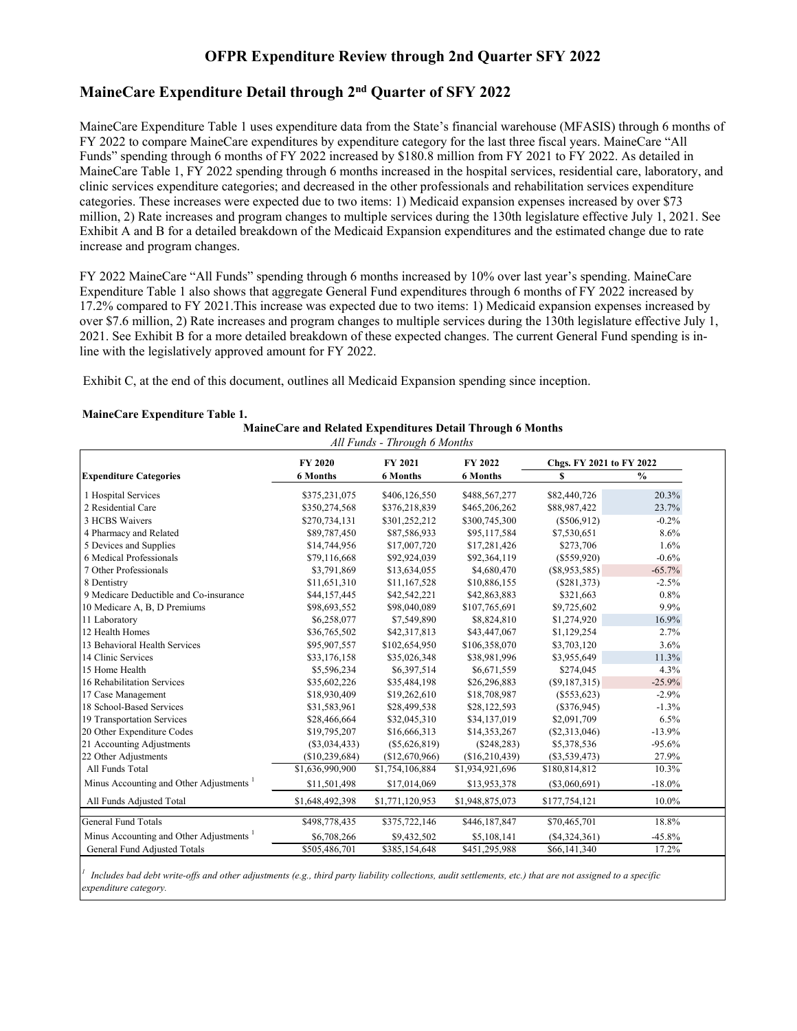# **OFPR Expenditure Review through 2nd Quarter SFY 2022**

## **MaineCare Expenditure Detail through 2nd Quarter of SFY 2022**

MaineCare Expenditure Table 1 uses expenditure data from the State's financial warehouse (MFASIS) through 6 months of FY 2022 to compare MaineCare expenditures by expenditure category for the last three fiscal years. MaineCare "All Funds" spending through 6 months of FY 2022 increased by \$180.8 million from FY 2021 to FY 2022. As detailed in MaineCare Table 1, FY 2022 spending through 6 months increased in the hospital services, residential care, laboratory, and clinic services expenditure categories; and decreased in the other professionals and rehabilitation services expenditure categories. These increases were expected due to two items: 1) Medicaid expansion expenses increased by over \$73 million, 2) Rate increases and program changes to multiple services during the 130th legislature effective July 1, 2021. See Exhibit A and B for a detailed breakdown of the Medicaid Expansion expenditures and the estimated change due to rate increase and program changes.

FY 2022 MaineCare "All Funds" spending through 6 months increased by 10% over last year's spending. MaineCare Expenditure Table 1 also shows that aggregate General Fund expenditures through 6 months of FY 2022 increased by 17.2% compared to FY 2021.This increase was expected due to two items: 1) Medicaid expansion expenses increased by over \$7.6 million, 2) Rate increases and program changes to multiple services during the 130th legislature effective July 1, 2021. See Exhibit B for a more detailed breakdown of these expected changes. The current General Fund spending is inline with the legislatively approved amount for FY 2022.

Exhibit C, at the end of this document, outlines all Medicaid Expansion spending since inception.

| MaineCare Expenditure Table 1. |                                                            |
|--------------------------------|------------------------------------------------------------|
|                                | MaineCare and Related Expenditures Detail Through 6 Months |

| All Funds - Through 6 Months                                     |                 |                 |                 |                 |               |  |  |  |  |
|------------------------------------------------------------------|-----------------|-----------------|-----------------|-----------------|---------------|--|--|--|--|
| FY 2021<br>FY 2022<br><b>FY 2020</b><br>Chgs. FY 2021 to FY 2022 |                 |                 |                 |                 |               |  |  |  |  |
| <b>Expenditure Categories</b>                                    | <b>6 Months</b> | <b>6 Months</b> | <b>6 Months</b> | S               | $\frac{0}{0}$ |  |  |  |  |
| 1 Hospital Services                                              | \$375,231,075   | \$406,126,550   | \$488,567,277   | \$82,440,726    | 20.3%         |  |  |  |  |
| 2 Residential Care                                               | \$350,274,568   | \$376,218,839   | \$465,206,262   | \$88,987,422    | 23.7%         |  |  |  |  |
| 3 HCBS Waivers                                                   | \$270,734,131   | \$301,252,212   | \$300,745,300   | (\$506,912)     | $-0.2\%$      |  |  |  |  |
| 4 Pharmacy and Related                                           | \$89,787,450    | \$87,586,933    | \$95,117,584    | \$7,530,651     | 8.6%          |  |  |  |  |
| 5 Devices and Supplies                                           | \$14,744,956    | \$17,007,720    | \$17,281,426    | \$273,706       | 1.6%          |  |  |  |  |
| 6 Medical Professionals                                          | \$79,116,668    | \$92,924,039    | \$92,364,119    | $(\$559,920)$   | $-0.6%$       |  |  |  |  |
| 7 Other Professionals                                            | \$3,791,869     | \$13,634,055    | \$4,680,470     | (S8,953,585)    | $-65.7%$      |  |  |  |  |
| 8 Dentistry                                                      | \$11,651,310    | \$11,167,528    | \$10,886,155    | (\$281,373)     | $-2.5%$       |  |  |  |  |
| 9 Medicare Deductible and Co-insurance                           | \$44,157,445    | \$42,542,221    | \$42,863,883    | \$321,663       | 0.8%          |  |  |  |  |
| 10 Medicare A, B, D Premiums                                     | \$98,693,552    | \$98,040,089    | \$107,765,691   | \$9,725,602     | 9.9%          |  |  |  |  |
| 11 Laboratory                                                    | \$6,258,077     | \$7,549,890     | \$8,824,810     | \$1,274,920     | 16.9%         |  |  |  |  |
| 12 Health Homes                                                  | \$36,765,502    | \$42,317,813    | \$43,447,067    | \$1,129,254     | 2.7%          |  |  |  |  |
| 13 Behavioral Health Services                                    | \$95,907,557    | \$102,654,950   | \$106,358,070   | \$3,703,120     | 3.6%          |  |  |  |  |
| 14 Clinic Services                                               | \$33,176,158    | \$35,026,348    | \$38,981,996    | \$3,955,649     | 11.3%         |  |  |  |  |
| 15 Home Health                                                   | \$5,596,234     | \$6,397,514     | \$6,671,559     | \$274,045       | 4.3%          |  |  |  |  |
| 16 Rehabilitation Services                                       | \$35,602,226    | \$35,484,198    | \$26,296,883    | (S9, 187, 315)  | $-25.9%$      |  |  |  |  |
| 17 Case Management                                               | \$18,930,409    | \$19,262,610    | \$18,708,987    | $(\$553,623)$   | $-2.9%$       |  |  |  |  |
| 18 School-Based Services                                         | \$31,583,961    | \$28,499,538    | \$28,122,593    | (\$376,945)     | $-1.3%$       |  |  |  |  |
| 19 Transportation Services                                       | \$28,466,664    | \$32,045,310    | \$34,137,019    | \$2,091,709     | 6.5%          |  |  |  |  |
| 20 Other Expenditure Codes                                       | \$19,795,207    | \$16,666,313    | \$14,353,267    | $(\$2,313,046)$ | $-13.9%$      |  |  |  |  |
| 21 Accounting Adjustments                                        | $(\$3,034,433)$ | $(\$5,626,819)$ | $(\$248,283)$   | \$5,378,536     | $-95.6%$      |  |  |  |  |
| 22 Other Adjustments                                             | (\$10,239,684)  | (\$12,670,966)  | (\$16,210,439)  | $(\$3,539,473)$ | 27.9%         |  |  |  |  |
| All Funds Total                                                  | \$1,636,990,900 | \$1,754,106,884 | \$1,934,921,696 | \$180,814,812   | 10.3%         |  |  |  |  |
| Minus Accounting and Other Adjustments                           | \$11,501,498    | \$17,014,069    | \$13,953,378    | $(\$3,060,691)$ | $-18.0\%$     |  |  |  |  |
| All Funds Adjusted Total                                         | \$1,648,492,398 | \$1,771,120,953 | \$1,948,875,073 | \$177,754,121   | 10.0%         |  |  |  |  |
| <b>General Fund Totals</b>                                       | \$498,778,435   | \$375,722,146   | \$446,187,847   | \$70,465,701    | 18.8%         |  |  |  |  |
| Minus Accounting and Other Adjustments                           | \$6,708,266     | \$9,432,502     | \$5,108,141     | ( \$4,324,361)  | $-45.8%$      |  |  |  |  |
| General Fund Adjusted Totals                                     | \$505,486,701   | \$385,154,648   | \$451,295,988   | \$66,141,340    | 17.2%         |  |  |  |  |

*1 Includes bad debt write-offs and other adjustments (e.g., third party liability collections, audit settlements, etc.) that are not assigned to a specific expenditure category.*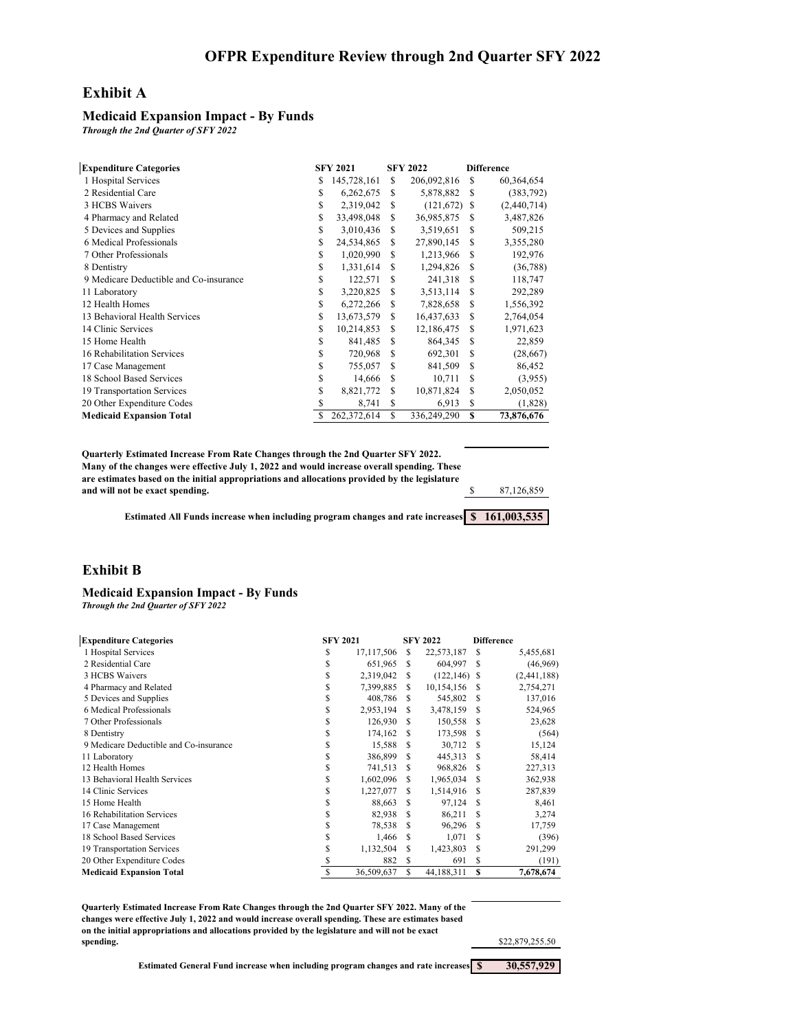### **Exhibit A**

#### **Medicaid Expansion Impact - By Funds**

*Through the 2nd Quarter of SFY 2022*

| <b>Expenditure Categories</b>          |    | <b>SFY 2021</b> |     | <b>SFY 2022</b> |          | <b>Difference</b> |
|----------------------------------------|----|-----------------|-----|-----------------|----------|-------------------|
| 1 Hospital Services                    | S  | 145,728,161     | S   | 206,092,816     | <b>S</b> | 60,364,654        |
| 2 Residential Care                     | S  | 6,262,675       | S   | 5,878,882       | -S       | (383, 792)        |
| 3 HCBS Waivers                         | S  | 2,319,042       | S   | $(121,672)$ \$  |          | (2,440,714)       |
| 4 Pharmacy and Related                 | \$ | 33,498,048      | S   | 36,985,875      | S        | 3,487,826         |
| 5 Devices and Supplies                 | S  | 3,010,436       | S   | 3,519,651       | S        | 509,215           |
| 6 Medical Professionals                | \$ | 24,534,865      | S   | 27,890,145      | S        | 3,355,280         |
| 7 Other Professionals                  | S  | 1,020,990       | S   | 1,213,966       | -S       | 192,976           |
| 8 Dentistry                            | \$ | 1,331,614       | S   | 1,294,826       | S        | (36, 788)         |
| 9 Medicare Deductible and Co-insurance | \$ | 122,571         | S   | 241,318         | -S       | 118,747           |
| 11 Laboratory                          | \$ | 3,220,825       | \$. | 3,513,114       | S.       | 292,289           |
| 12 Health Homes                        | S  | 6,272,266       | S   | 7,828,658       | S        | 1,556,392         |
| 13 Behavioral Health Services          | S  | 13,673,579      | S   | 16,437,633      | S        | 2,764,054         |
| 14 Clinic Services                     | S  | 10,214,853      | S   | 12,186,475      | S        | 1,971,623         |
| 15 Home Health                         | \$ | 841,485         | S   | 864,345         | S        | 22,859            |
| 16 Rehabilitation Services             | \$ | 720,968         | S   | 692,301         | \$.      | (28, 667)         |
| 17 Case Management                     | \$ | 755,057         | S   | 841,509         | S        | 86,452            |
| 18 School Based Services               | \$ | 14,666          | S   | 10,711          | S        | (3,955)           |
| 19 Transportation Services             | \$ | 8,821,772       | S   | 10,871,824      | S        | 2,050,052         |
| 20 Other Expenditure Codes             | S  | 8,741           | S   | 6,913           | S        | (1,828)           |
| <b>Medicaid Expansion Total</b>        | S  | 262,372,614     | \$  | 336,249,290     | S        | 73,876,676        |

| <b>Ouarterly Estimated Increase From Rate Changes through the 2nd Ouarter SFY 2022.</b>       |            |
|-----------------------------------------------------------------------------------------------|------------|
| Many of the changes were effective July 1, 2022 and would increase overall spending. These    |            |
| are estimates based on the initial appropriations and allocations provided by the legislature |            |
| and will not be exact spending.                                                               | 87,126,859 |
|                                                                                               |            |

**Estimated All Funds increase when including program changes and rate increases \$ 161,003,535**

#### **Exhibit B**

#### **Medicaid Expansion Impact - By Funds** *Through the 2nd Quarter of SFY 2022*

|  | <b>Inrough the 2nd Quarter of SFY 2022</b> |  |  |
|--|--------------------------------------------|--|--|
|  |                                            |  |  |

| <b>Expenditure Categories</b>          |    | <b>SFY 2021</b> |    | <b>SFY 2022</b> |    | <b>Difference</b> |
|----------------------------------------|----|-----------------|----|-----------------|----|-------------------|
| 1 Hospital Services                    | \$ | 17,117,506      | S  | 22,573,187      | S  | 5,455,681         |
| 2 Residential Care                     | \$ | 651,965         | S  | 604,997         | S  | (46,969)          |
| 3 HCBS Waivers                         | S  | 2,319,042       | S  | $(122, 146)$ \$ |    | (2,441,188)       |
| 4 Pharmacy and Related                 | \$ | 7,399,885       | S  | 10,154,156      | S  | 2,754,271         |
| 5 Devices and Supplies                 | \$ | 408,786         | S  | 545,802         | S  | 137,016           |
| 6 Medical Professionals                | S  | 2,953,194       | S  | 3,478,159       | S  | 524,965           |
| 7 Other Professionals                  | S  | 126,930         | S  | 150,558         | S. | 23,628            |
| 8 Dentistry                            | S  | 174,162         | S  | 173,598         | S  | (564)             |
| 9 Medicare Deductible and Co-insurance | \$ | 15,588          | S  | 30,712          | S. | 15,124            |
| 11 Laboratory                          | S  | 386,899         | S  | 445,313         | S. | 58,414            |
| 12 Health Homes                        | \$ | 741,513         | S  | 968,826         | S. | 227,313           |
| 13 Behavioral Health Services          | \$ | 1,602,096       | S  | 1,965,034       | S. | 362,938           |
| 14 Clinic Services                     | \$ | 1,227,077       | S  | 1,514,916       | S. | 287,839           |
| 15 Home Health                         | S  | 88,663          | S  | 97,124          | S. | 8,461             |
| 16 Rehabilitation Services             | \$ | 82,938          | £. | 86,211          | S. | 3,274             |
| 17 Case Management                     | S  | 78,538          | S  | 96,296          | S. | 17,759            |
| 18 School Based Services               | S  | 1,466           | £. | 1,071           | S  | (396)             |
| 19 Transportation Services             | S  | 1,132,504       | S  | 1,423,803       | S. | 291,299           |
| 20 Other Expenditure Codes             |    | 882             | S  | 691             | S  | (191)             |
| <b>Medicaid Expansion Total</b>        | S  | 36,509,637      | S  | 44,188,311      | S  | 7,678,674         |

**Quarterly Estimated Increase From Rate Changes through the 2nd Quarter SFY 2022. Many of the changes were effective July 1, 2022 and would increase overall spending. These are estimates based on the initial appropriations and allocations provided by the legislature and will not be exact spending.**

\$22,879,255.50

**Estimated General Fund increase when including program changes and rate increases \$ 30,557,929**